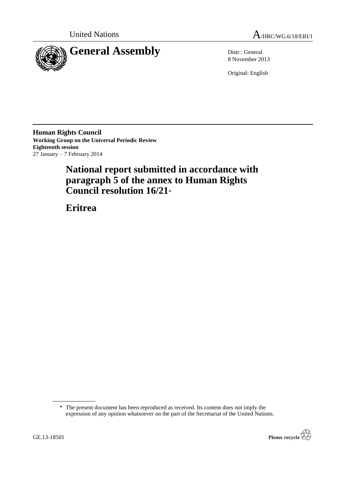



8 November 2013

Original: English

**Human Rights Council Working Group on the Universal Periodic Review Eighteenth session** 27 January – 7 February 2014

# **National report submitted in accordance with paragraph 5 of the annex to Human Rights Council resolution 16/21**\*

**Eritrea**

<sup>\*</sup> The present document has been reproduced as received. Its content does not imply the expression of any opinion whatsoever on the part of the Secretariat of the United Nations.

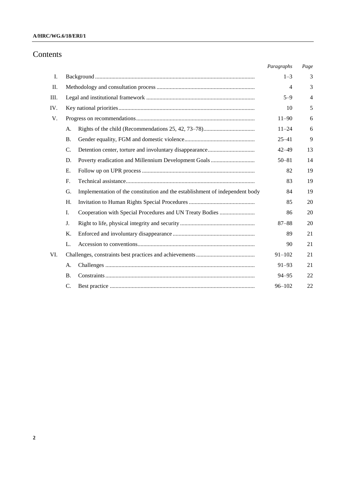## **A/HRC/WG.6/18/ERI/1**

## Contents

|     |                 |                                                                              | Paragraphs | Page |
|-----|-----------------|------------------------------------------------------------------------------|------------|------|
| Ι.  |                 |                                                                              |            | 3    |
| П.  |                 |                                                                              |            | 3    |
| Ш.  |                 |                                                                              | $5 - 9$    | 4    |
| IV. |                 |                                                                              | 10         | 5    |
| V.  |                 |                                                                              | $11 - 90$  | 6    |
|     | А.              |                                                                              | $11 - 24$  | 6    |
|     | <b>B.</b>       |                                                                              | $25 - 41$  | 9    |
|     | $\mathcal{C}$ . |                                                                              | $42 - 49$  | 13   |
|     | D.              |                                                                              | $50 - 81$  | 14   |
|     | E.              |                                                                              | 82         | 19   |
|     | $F_{\cdot}$     |                                                                              | 83         | 19   |
|     | G.              | Implementation of the constitution and the establishment of independent body | 84         | 19   |
|     | H.              |                                                                              | 85         | 20   |
|     | I.              | Cooperation with Special Procedures and UN Treaty Bodies                     | 86         | 20   |
|     | J.              |                                                                              | $87 - 88$  | 20   |
|     | K.              |                                                                              | 89         | 21   |
|     | L.              |                                                                              | 90         | 21   |
| VI. |                 |                                                                              | $91 - 102$ | 21   |
|     | А.              |                                                                              | $91 - 93$  | 21   |
|     | <b>B.</b>       |                                                                              | $94 - 95$  | 22   |
|     | C.              |                                                                              | $96 - 102$ | 22   |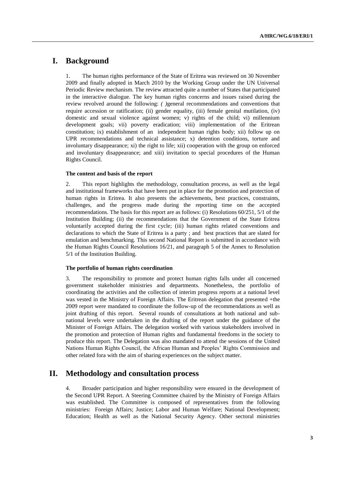## **I. Background**

1. The human rights performance of the State of Eritrea was reviewed on 30 November 2009 and finally adopted in March 2010 by the Working Group under the UN Universal Periodic Review mechanism. The review attracted quite a number of States that participated in the interactive dialogue. The key human rights concerns and issues raised during the review revolved around the following: *( )*general recommendations and conventions that require accession or ratification; (ii) gender equality, (iii) female genital mutilation, (iv) domestic and sexual violence against women; v) rights of the child; vi) millennium development goals; vii) poverty eradication; viii) implementation of the Eritrean constitution; ix) establishment of an independent human rights body; xii) follow up on UPR recommendations and technical assistance; x) detention conditions, torture and involuntary disappearance; xi) the right to life; xii) cooperation with the group on enforced and involuntary disappearance; and xiii) invitation to special procedures of the Human Rights Council.

#### **The content and basis of the report**

2. This report highlights the methodology, consultation process, as well as the legal and institutional frameworks that have been put in place for the promotion and protection of human rights in Eritrea. It also presents the achievements, best practices, constraints, challenges, and the progress made during the reporting time on the accepted recommendations. The basis for this report are as follows: (i) Resolutions 60/251, 5/1 of the Institution Building; (ii) the recommendations that the Government of the State Eritrea voluntarily accepted during the first cycle; (iii) human rights related conventions and declarations to which the State of Eritrea is a party ; and best practices that are slated for emulation and benchmarking. This second National Report is submitted in accordance with the Human Rights Council Resolutions 16/21, and paragraph 5 of the Annex to Resolution 5/1 of the Institution Building.

#### **The portfolio of human rights coordination**

3. The responsibility to promote and protect human rights falls under all concerned government stakeholder ministries and departments. Nonetheless, the portfolio of coordinating the activities and the collection of interim progress reports at a national level was vested in the Ministry of Foreign Affairs. The Eritrean delegation that presented +the 2009 report were mandated to coordinate the follow-up of the recommendations as well as joint drafting of this report. Several rounds of consultations at both national and subnational levels were undertaken in the drafting of the report under the guidance of the Minister of Foreign Affairs. The delegation worked with various stakeholders involved in the promotion and protection of Human rights and fundamental freedoms in the society to produce this report. The Delegation was also mandated to attend the sessions of the United Nations Human Rights Council, the African Human and Peoples' Rights Commission and other related fora with the aim of sharing experiences on the subject matter.

## **II. Methodology and consultation process**

4. Broader participation and higher responsibility were ensured in the development of the Second UPR Report. A Steering Committee chaired by the Ministry of Foreign Affairs was established. The Committee is composed of representatives from the following ministries: Foreign Affairs; Justice; Labor and Human Welfare; National Development; Education; Health as well as the National Security Agency. Other sectoral ministries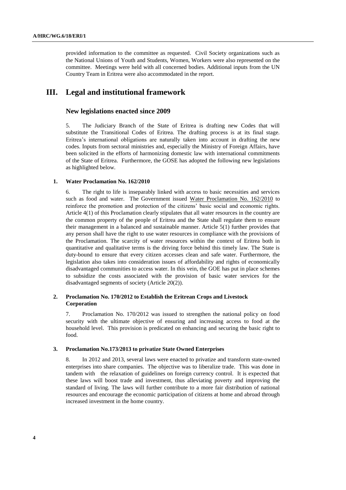provided information to the committee as requested. Civil Society organizations such as the National Unions of Youth and Students, Women, Workers were also represented on the committee. Meetings were held with all concerned bodies. Additional inputs from the UN Country Team in Eritrea were also accommodated in the report.

## **III. Legal and institutional framework**

## **New legislations enacted since 2009**

5. The Judiciary Branch of the State of Eritrea is drafting new Codes that will substitute the Transitional Codes of Eritrea. The drafting process is at its final stage. Eritrea's international obligations are naturally taken into account in drafting the new codes. Inputs from sectoral ministries and, especially the Ministry of Foreign Affairs, have been solicited in the efforts of harmonizing domestic law with international commitments of the State of Eritrea. Furthermore, the GOSE has adopted the following new legislations as highlighted below.

#### **1. Water Proclamation No. 162/2010**

6. The right to life is inseparably linked with access to basic necessities and services such as food and water. The Government issued Water Proclamation No. 162/2010 to reinforce the promotion and protection of the citizens' basic social and economic rights. Article 4(1) of this Proclamation clearly stipulates that all water resources in the country are the common property of the people of Eritrea and the State shall regulate them to ensure their management in a balanced and sustainable manner. Article 5(1) further provides that any person shall have the right to use water resources in compliance with the provisions of the Proclamation. The scarcity of water resources within the context of Eritrea both in quantitative and qualitative terms is the driving force behind this timely law. The State is duty-bound to ensure that every citizen accesses clean and safe water. Furthermore, the legislation also takes into consideration issues of affordability and rights of economically disadvantaged communities to access water. In this vein, the GOE has put in place schemes to subsidize the costs associated with the provision of basic water services for the disadvantaged segments of society (Article 20(2)).

## **2. Proclamation No. 170/2012 to Establish the Eritrean Crops and Livestock Corporation**

7. Proclamation No. 170/2012 was issued to strengthen the national policy on food security with the ultimate objective of ensuring and increasing access to food at the household level. This provision is predicated on enhancing and securing the basic right to food.

#### **3. Proclamation No.173/2013 to privatize State Owned Enterprises**

8. In 2012 and 2013, several laws were enacted to privatize and transform state-owned enterprises into share companies. The objective was to liberalize trade. This was done in tandem with the relaxation of guidelines on foreign currency control. It is expected that these laws will boost trade and investment, thus alleviating poverty and improving the standard of living. The laws will further contribute to a more fair distribution of national resources and encourage the economic participation of citizens at home and abroad through increased investment in the home country.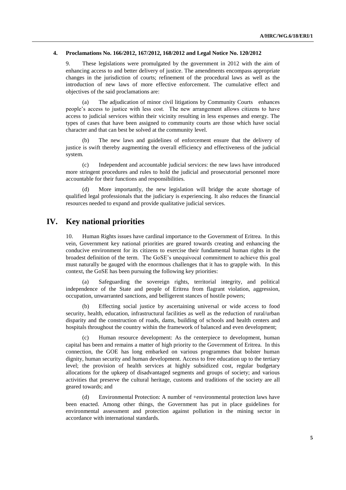#### **4. Proclamations No. 166/2012, 167/2012, 168/2012 and Legal Notice No. 120/2012**

9. These legislations were promulgated by the government in 2012 with the aim of enhancing access to and better delivery of justice. The amendments encompass appropriate changes in the jurisdiction of courts; refinement of the procedural laws as well as the introduction of new laws of more effective enforcement. The cumulative effect and objectives of the said proclamations are:

(a) The adjudication of minor civil litigations by Community Courts enhances people's access to justice with less cost. The new arrangement allows citizens to have access to judicial services within their vicinity resulting in less expenses and energy. The types of cases that have been assigned to community courts are those which have social character and that can best be solved at the community level.

(b) The new laws and guidelines of enforcement ensure that the delivery of justice is swift thereby augmenting the overall efficiency and effectiveness of the judicial system.

(c) Independent and accountable judicial services: the new laws have introduced more stringent procedures and rules to hold the judicial and prosecutorial personnel more accountable for their functions and responsibilities.

(d) More importantly, the new legislation will bridge the acute shortage of qualified legal professionals that the judiciary is experiencing. It also reduces the financial resources needed to expand and provide qualitative judicial services.

## **IV. Key national priorities**

10. Human Rights issues have cardinal importance to the Government of Eritrea. In this vein, Government key national priorities are geared towards creating and enhancing the conducive environment for its citizens to exercise their fundamental human rights in the broadest definition of the term. The GoSE's unequivocal commitment to achieve this goal must naturally be gauged with the enormous challenges that it has to grapple with. In this context, the GoSE has been pursuing the following key priorities:

(a) Safeguarding the sovereign rights, territorial integrity, and political independence of the State and people of Eritrea from flagrant violation, aggression, occupation, unwarranted sanctions, and belligerent stances of hostile powers;

(b) Effecting social justice by ascertaining universal or wide access to food security, health, education, infrastructural facilities as well as the reduction of rural/urban disparity and the construction of roads, dams, building of schools and health centers and hospitals throughout the country within the framework of balanced and even development;

(c) Human resource development: As the centerpiece to development, human capital has been and remains a matter of high priority to the Government of Eritrea. In this connection, the GOE has long embarked on various programmes that bolster human dignity, human security and human development. Access to free education up to the tertiary level; the provision of health services at highly subsidized cost, regular budgetary allocations for the upkeep of disadvantaged segments and groups of society; and various activities that preserve the cultural heritage, customs and traditions of the society are all geared towards; and

(d) Environmental Protection: A number of +environmental protection laws have been enacted. Among other things, the Government has put in place guidelines for environmental assessment and protection against pollution in the mining sector in accordance with international standards.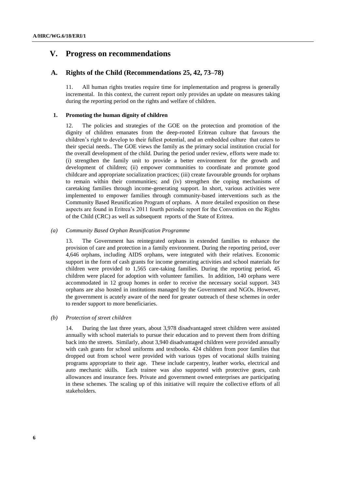## **V. Progress on recommendations**

## **A. Rights of the Child (Recommendations 25, 42, 73–78)**

11. All human rights treaties require time for implementation and progress is generally incremental. In this context, the current report only provides an update on measures taking during the reporting period on the rights and welfare of children.

## **1. Promoting the human dignity of children**

12. The policies and strategies of the GOE on the protection and promotion of the dignity of children emanates from the deep-rooted Eritrean culture that favours the children's right to develop to their fullest potential, and an embedded culture that caters to their special needs.. The GOE views the family as the primary social institution crucial for the overall development of the child. During the period under review, efforts were made to: (i) strengthen the family unit to provide a better environment for the growth and development of children; (ii) empower communities to coordinate and promote good childcare and appropriate socialization practices; (iii) create favourable grounds for orphans to remain within their communities; and (iv) strengthen the coping mechanisms of caretaking families through income-generating support. In short, various activities were implemented to empower families through community-based interventions such as the Community Based Reunification Program of orphans. A more detailed exposition on these aspects are found in Eritrea's 2011 fourth periodic report for the Convention on the Rights of the Child (CRC) as well as subsequent reports of the State of Eritrea.

#### *(a) Community Based Orphan Reunification Programme*

13. The Government has reintegrated orphans in extended families to enhance the provision of care and protection in a family environment. During the reporting period, over 4,646 orphans, including AIDS orphans, were integrated with their relatives. Economic support in the form of cash grants for income generating activities and school materials for children were provided to 1,565 care-taking families. During the reporting period, 45 children were placed for adoption with volunteer families. In addition, 140 orphans were accommodated in 12 group homes in order to receive the necessary social support. 343 orphans are also hosted in institutions managed by the Government and NGOs. However, the government is acutely aware of the need for greater outreach of these schemes in order to render support to more beneficiaries.

#### *(b) Protection of street children*

14. During the last three years, about 3,978 disadvantaged street children were assisted annually with school materials to pursue their education and to prevent them from drifting back into the streets. Similarly, about 3,940 disadvantaged children were provided annually with cash grants for school uniforms and textbooks. 424 children from poor families that dropped out from school were provided with various types of vocational skills training programs appropriate to their age. These include carpentry, leather works, electrical and auto mechanic skills. Each trainee was also supported with protective gears, cash allowances and insurance fees. Private and government owned enterprises are participating in these schemes. The scaling up of this initiative will require the collective efforts of all stakeholders.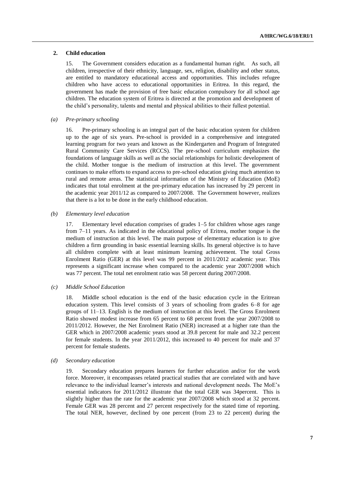#### **2. Child education**

15. The Government considers education as a fundamental human right. As such, all children, irrespective of their ethnicity, language, sex, religion, disability and other status, are entitled to mandatory educational access and opportunities. This includes refugee children who have access to educational opportunities in Eritrea. In this regard, the government has made the provision of free basic education compulsory for all school age children. The education system of Eritrea is directed at the promotion and development of the child's personality, talents and mental and physical abilities to their fullest potential.

#### *(a) Pre-primary schooling*

16. Pre-primary schooling is an integral part of the basic education system for children up to the age of six years. Pre-school is provided in a comprehensive and integrated learning program for two years and known as the Kindergarten and Program of Integrated Rural Community Care Services (RCCS). The pre-school curriculum emphasizes the foundations of language skills as well as the social relationships for holistic development of the child. Mother tongue is the medium of instruction at this level. The government continues to make efforts to expand access to pre-school education giving much attention to rural and remote areas. The statistical information of the Ministry of Education (MoE) indicates that total enrolment at the pre-primary education has increased by 29 percent in the academic year 2011/12 as compared to 2007/2008. The Government however, realizes that there is a lot to be done in the early childhood education.

#### *(b) Elementary level education*

17. Elementary level education comprises of grades 1–5 for children whose ages range from 7–11 years. As indicated in the educational policy of Eritrea, mother tongue is the medium of instruction at this level. The main purpose of elementary education is to give children a firm grounding in basic essential learning skills. Its general objective is to have all children complete with at least minimum learning achievement. The total Gross Enrolment Ratio (GER) at this level was 99 percent in 2011/2012 academic year. This represents a significant increase when compared to the academic year 2007/2008 which was 77 percent. The total net enrolment ratio was 58 percent during 2007/2008.

#### *(c) Middle School Education*

18. Middle school education is the end of the basic education cycle in the Eritrean education system. This level consists of 3 years of schooling from grades 6–8 for age groups of 11–13. English is the medium of instruction at this level. The Gross Enrolment Ratio showed modest increase from 65 percent to 68 percent from the year 2007/2008 to 2011/2012. However, the Net Enrolment Ratio (NER) increased at a higher rate than the GER which in 2007/2008 academic years stood at 39.8 percent for male and 32.2 percent for female students. In the year 2011/2012, this increased to 40 percent for male and 37 percent for female students.

### *(d) Secondary education*

19. Secondary education prepares learners for further education and/or for the work force. Moreover, it encompasses related practical studies that are correlated with and have relevance to the individual learner's interests and national development needs. The MoE's essential indicators for 2011/2012 illustrate that the total GER was 34percent. This is slightly higher than the rate for the academic year 2007/2008 which stood at 32 percent. Female GER was 28 percent and 27 percent respectively for the stated time of reporting. The total NER, however, declined by one percent (from 23 to 22 percent) during the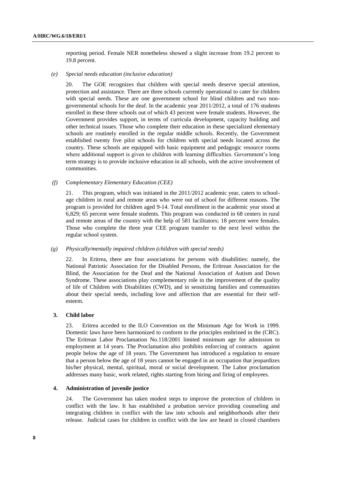reporting period. Female NER nonetheless showed a slight increase from 19.2 percent to 19.8 percent.

#### *(e) Special needs education (inclusive education)*

20. The GOE recognizes that children with special needs deserve special attention, protection and assistance. There are three schools currently operational to cater for children with special needs. These are one government school for blind children and two nongovernmental schools for the deaf. In the academic year 2011/2012, a total of 176 students enrolled in these three schools out of which 43 percent were female students. However, the Government provides support, in terms of curricula development, capacity building and other technical issues. Those who complete their education in these specialized elementary schools are routinely enrolled in the regular middle schools. Recently, the Government established twenty five pilot schools for children with special needs located across the country. These schools are equipped with basic equipment and pedagogic resource rooms where additional support is given to children with learning difficulties. Government's long term strategy is to provide inclusive education in all schools, with the active involvement of communities.

#### *(f) Complementary Elementary Education (CEE)*

21. This program, which was initiated in the 2011/2012 academic year, caters to schoolage children in rural and remote areas who were out of school for different reasons. The program is provided for children aged 9-14. Total enrollment in the academic year stood at 6,829; 65 percent were female students. This program was conducted in 68 centers in rural and remote areas of the country with the help of 581 facilitators; 18 percent were females. Those who complete the three year CEE program transfer to the next level within the regular school system.

#### *(g) Physically/mentally impaired children (children with special needs)*

22. In Eritrea, there are four associations for persons with disabilities: namely, the National Patriotic Association for the Disabled Persons, the Eritrean Association for the Blind, the Association for the Deaf and the National Association of Autism and Down Syndrome. These associations play complementary role in the improvement of the quality of life of Children with Disabilities (CWD), and in sensitizing families and communities about their special needs, including love and affection that are essential for their selfesteem.

#### **3. Child labor**

23. Eritrea acceded to the ILO Convention on the Minimum Age for Work in 1999. Domestic laws have been harmonized to conform to the principles enshrined in the (CRC). The Eritrean Labor Proclamation No.118/2001 limited minimum age for admission to employment at 14 years. The Proclamation also prohibits enforcing of contracts against people below the age of 18 years. The Government has introduced a regulation to ensure that a person below the age of 18 years cannot be engaged in an occupation that jeopardizes his/her physical, mental, spiritual, moral or social development. The Labor proclamation addresses many basic, work related, rights starting from hiring and firing of employees.

#### **4. Administration of juvenile justice**

24. The Government has taken modest steps to improve the protection of children in conflict with the law. It has established a probation service providing counseling and integrating children in conflict with the law into schools and neighborhoods after their release. Judicial cases for children in conflict with the law are heard in closed chambers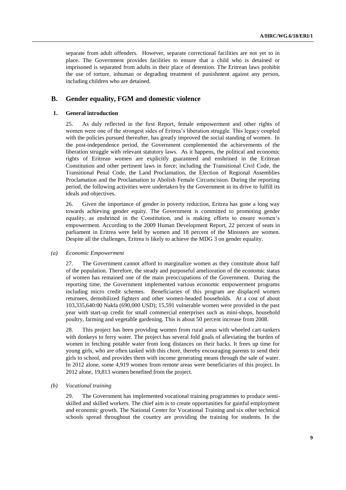separate from adult offenders. However, separate correctional facilities are not yet to in place. The Government provides facilities to ensure that a child who is detained or imprisoned is separated from adults in their place of detention. The Eritrean laws prohibit the use of torture, inhuman or degrading treatment of punishment against any person, including children who are detained.

## **B. Gender equality, FGM and domestic violence**

## **1. General introduction**

25. As duly reflected in the first Report, female empowerment and other rights of women were one of the strongest sides of Eritrea's liberation struggle. This legacy coupled with the policies pursued thereafter, has greatly improved the social standing of women. In the post-independence period, the Government complemented the achievements of the liberation struggle with relevant statutory laws. As it happens, the political and economic rights of Eritrean women are explicitly guaranteed and enshrined in the Eritrean Constitution and other pertinent laws in force; including the Transitional Civil Code, the Transitional Penal Code, the Land Proclamation, the Election of Regional Assemblies Proclamation and the Proclamation to Abolish Female Circumcision. During the reporting period, the following activities were undertaken by the Government in its drive to fulfill its ideals and objectives.

26. Given the importance of gender in poverty reduction, Eritrea has gone a long way towards achieving gender equity. The Government is committed to promoting gender equality, as enshrined in the Constitution, and is making efforts to ensure women's empowerment. According to the 2009 Human Development Report, 22 percent of seats in parliament in Eritrea were held by women and 18 percent of the Ministers are women. Despite all the challenges, Eritrea is likely to achieve the MDG 3 on gender equality.

#### *(a) Economic Empowerment*

27. The Government cannot afford to marginalize women as they constitute about half of the population. Therefore, the steady and purposeful amelioration of the economic status of women has remained one of the main preoccupations of the Government. During the reporting time, the Government implemented various economic empowerment programs including micro credit schemes. Beneficiaries of this program are displaced women returnees, demobilized fighters and other women-headed households. At a cost of about 103,335,640:00 Nakfa (690,000 USD); 15,591 vulnerable women were provided in the past year with start-up credit for small commercial enterprises such as mini-shops, household poultry, farming and vegetable gardening. This is about 50 percent increase from 2008.

28. This project has been providing women from rural areas with wheeled cart-tankers with donkeys to ferry water. The project has several fold goals of alleviating the burden of women in fetching potable water from long distances on their backs. It frees up time for young girls, who are often tasked with this chore, thereby encouraging parents to send their girls to school, and provides them with income generating means through the sale of water. In 2012 alone, some 4,919 women from remote areas were beneficiaries of this project. In 2012 alone, 19,813 women benefited from the project.

#### *(b) Vocational training*

29. The Government has implemented vocational training programmes to produce semiskilled and skilled workers. The chief aim is to create opportunities for gainful employment and economic growth. The National Center for Vocational Training and six other technical schools spread throughout the country are providing the training for students. In the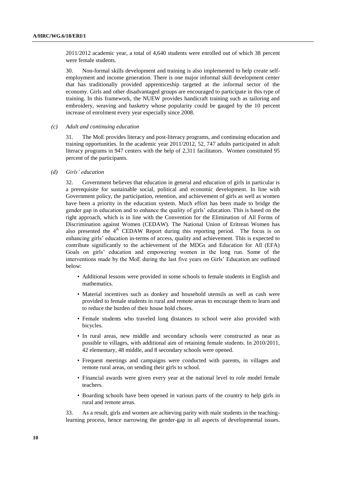2011/2012 academic year, a total of 4,640 students were enrolled out of which 38 percent were female students.

30. Non-formal skills development and training is also implemented to help create selfemployment and income generation. There is one major informal skill development center that has traditionally provided apprenticeship targeted at the informal sector of the economy. Girls and other disadvantaged groups are encouraged to participate in this type of training. In this framework, the NUEW provides handicraft training such as tailoring and embroidery, weaving and basketry whose popularity could be gauged by the 10 percent increase of enrolment every year especially since 2008.

#### *(c) Adult and continuing education*

31. The MoE provides literacy and post-literacy programs, and continuing education and training opportunities. In the academic year 2011/2012, 52, 747 adults participated in adult literacy programs in 947 centers with the help of 2,311 facilitators. Women constituted 95 percent of the participants.

*(d) Girls' education*

32. Government believes that education in general and education of girls in particular is a prerequisite for sustainable social, political and economic development. In line with Government policy, the participation, retention, and achievement of girls as well as women have been a priority in the education system. Much effort has been made to bridge the gender gap in education and to enhance the quality of girls' education. This is based on the right approach, which is in line with the Convention for the Elimination of All Forms of Discrimination against Women (CEDAW). The National Union of Eritrean Women has also presented the  $4<sup>th</sup>$  CEDAW Report during this reporting period. The focus is on enhancing girls' education in-terms of access, quality and achievement. This is expected to contribute significantly to the achievement of the MDGs and Education for All (EFA) Goals on girls' education and empowering women in the long run. Some of the interventions made by the MoE during the last five years on Girls' Education are outlined below:

- Additional lessons were provided in some schools to female students in English and mathematics.
- Material incentives such as donkey and household utensils as well as cash were provided to female students in rural and remote areas to encourage them to learn and to reduce the burden of their house hold chores.
- Female students who traveled long distances to school were also provided with bicycles.
- In rural areas, new middle and secondary schools were constructed as near as possible to villages, with additional aim of retaining female students. In 2010/2011, 42 elementary, 48 middle, and 8 secondary schools were opened.
- Frequent meetings and campaigns were conducted with parents, in villages and remote rural areas, on sending their girls to school.
- Financial awards were given every year at the national level to role model female teachers.
- Boarding schools have been opened in various parts of the country to help girls in rural and remote areas.

33. As a result, girls and women are achieving parity with male students in the teachinglearning process, hence narrowing the gender-gap in all aspects of developmental issues.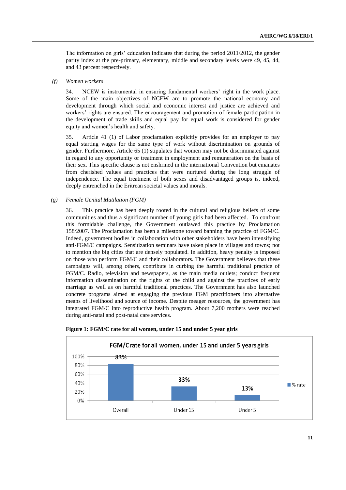The information on girls' education indicates that during the period 2011/2012, the gender parity index at the pre-primary, elementary, middle and secondary levels were 49, 45, 44, and 43 percent respectively.

#### *(f) Women workers*

34. NCEW is instrumental in ensuring fundamental workers' right in the work place. Some of the main objectives of NCEW are to promote the national economy and development through which social and economic interest and justice are achieved and workers' rights are ensured. The encouragement and promotion of female participation in the development of trade skills and equal pay for equal work is considered for gender equity and women's health and safety.

35. Article 41 (1) of Labor proclamation explicitly provides for an employer to pay equal starting wages for the same type of work without discrimination on grounds of gender. Furthermore, Article 65 (1) stipulates that women may not be discriminated against in regard to any opportunity or treatment in employment and remuneration on the basis of their sex. This specific clause is not enshrined in the international Convention but emanates from cherished values and practices that were nurtured during the long struggle of independence. The equal treatment of both sexes and disadvantaged groups is, indeed, deeply entrenched in the Eritrean societal values and morals.

#### *(g) Female Genital Mutilation (FGM)*

36. This practice has been deeply rooted in the cultural and religious beliefs of some communities and thus a significant number of young girls had been affected. To confront this formidable challenge, the Government outlawed this practice by Proclamation 158/2007. The Proclamation has been a milestone toward banning the practice of FGM/C. Indeed, government bodies in collaboration with other stakeholders have been intensifying anti-FGM/C campaigns. Sensitization seminars have taken place in villages and towns; not to mention the big cities that are densely populated. In addition, heavy penalty is imposed on those who perform FGM/C and their collaborators. The Government believes that these campaigns will, among others, contribute in curbing the harmful traditional practice of FGM/C. Radio, television and newspapers, as the main media outlets; conduct frequent information dissemination on the rights of the child and against the practices of early marriage as well as on harmful traditional practices. The Government has also launched concrete programs aimed at engaging the previous FGM practitioners into alternative means of livelihood and source of income. Despite meager resources, the government has integrated FGM/C into reproductive health program. About 7,200 mothers were reached during anti-natal and post-natal care services.



**Figure 1: FGM/C rate for all women, under 15 and under 5 year girls**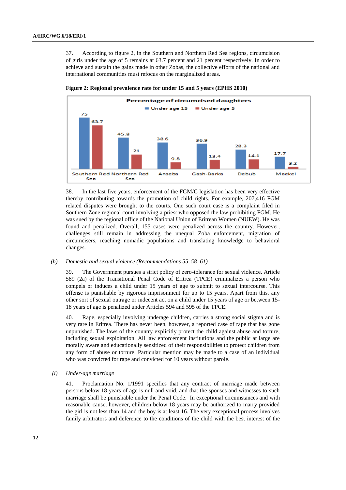37. According to figure 2, in the Southern and Northern Red Sea regions, circumcision of girls under the age of 5 remains at 63.7 percent and 21 percent respectively. In order to achieve and sustain the gains made in other Zobas, the collective efforts of the national and international communities must refocus on the marginalized areas.



**Figure 2: Regional prevalence rate for under 15 and 5 years (EPHS 2010)**

38. In the last five years, enforcement of the FGM/C legislation has been very effective thereby contributing towards the promotion of child rights. For example, 207,416 FGM related disputes were brought to the courts. One such court case is a complaint filed in Southern Zone regional court involving a priest who opposed the law prohibiting FGM. He was sued by the regional office of the National Union of Eritrean Women (NUEW). He was found and penalized. Overall, 155 cases were penalized across the country. However, challenges still remain in addressing the unequal Zoba enforcement, migration of circumcisers, reaching nomadic populations and translating knowledge to behavioral changes.

#### *(h) Domestic and sexual violence (Recommendations 55, 58–61)*

39. The Government pursues a strict policy of zero-tolerance for sexual violence. Article 589 (2a) of the Transitional Penal Code of Eritrea (TPCE) criminalizes a person who compels or induces a child under 15 years of age to submit to sexual intercourse. This offense is punishable by rigorous imprisonment for up to 15 years. Apart from this, any other sort of sexual outrage or indecent act on a child under 15 years of age or between 15- 18 years of age is penalized under Articles 594 and 595 of the TPCE.

40. Rape, especially involving underage children, carries a strong social stigma and is very rare in Eritrea. There has never been, however, a reported case of rape that has gone unpunished. The laws of the country explicitly protect the child against abuse and torture, including sexual exploitation. All law enforcement institutions and the public at large are morally aware and educationally sensitized of their responsibilities to protect children from any form of abuse or torture. Particular mention may be made to a case of an individual who was convicted for rape and convicted for 10 years without parole.

*(i) Under-age marriage*

41. Proclamation No. 1/1991 specifies that any contract of marriage made between persons below 18 years of age is null and void, and that the spouses and witnesses to such marriage shall be punishable under the Penal Code. In exceptional circumstances and with reasonable cause, however, children below 18 years may be authorized to marry provided the girl is not less than 14 and the boy is at least 16. The very exceptional process involves family arbitrators and deference to the conditions of the child with the best interest of the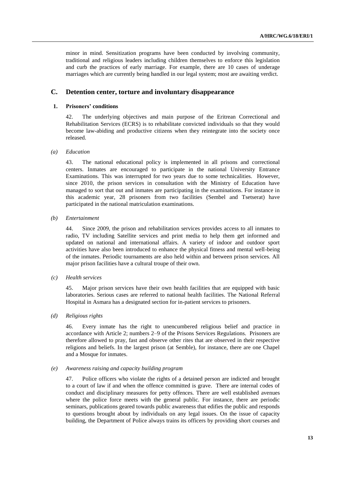minor in mind. Sensitization programs have been conducted by involving community, traditional and religious leaders including children themselves to enforce this legislation and curb the practices of early marriage. For example, there are 10 cases of underage marriages which are currently being handled in our legal system; most are awaiting verdict.

## **C. Detention center, torture and involuntary disappearance**

#### **1. Prisoners' conditions**

42. The underlying objectives and main purpose of the Eritrean Correctional and Rehabilitation Services (ECRS) is to rehabilitate convicted individuals so that they would become law-abiding and productive citizens when they reintegrate into the society once released.

#### *(a) Education*

43. The national educational policy is implemented in all prisons and correctional centers. Inmates are encouraged to participate in the national University Entrance Examinations. This was interrupted for two years due to some technicalities. However, since 2010, the prison services in consultation with the Ministry of Education have managed to sort that out and inmates are participating in the examinations. For instance in this academic year, 28 prisoners from two facilities (Sembel and Tsetserat) have participated in the national matriculation examinations.

#### *(b) Entertainment*

44. Since 2009, the prison and rehabilitation services provides access to all inmates to radio, TV including Satellite services and print media to help them get informed and updated on national and international affairs. A variety of indoor and outdoor sport activities have also been introduced to enhance the physical fitness and mental well-being of the inmates. Periodic tournaments are also held within and between prison services. All major prison facilities have a cultural troupe of their own.

#### *(c) Health services*

45. Major prison services have their own health facilities that are equipped with basic laboratories. Serious cases are referred to national health facilities. The National Referral Hospital in Asmara has a designated section for in-patient services to prisoners.

#### *(d) Religious rights*

46. Every inmate has the right to unencumbered religious belief and practice in accordance with Article 2; numbers 2–9 of the Prisons Services Regulations. Prisoners are therefore allowed to pray, fast and observe other rites that are observed in their respective religions and beliefs. In the largest prison (at Semble), for instance, there are one Chapel and a Mosque for inmates.

#### *(e) Awareness raising and capacity building program*

47. Police officers who violate the rights of a detained person are indicted and brought to a court of law if and when the offence committed is grave. There are internal codes of conduct and disciplinary measures for petty offences. There are well established avenues where the police force meets with the general public. For instance, there are periodic seminars, publications geared towards public awareness that edifies the public and responds to questions brought about by individuals on any legal issues. On the issue of capacity building, the Department of Police always trains its officers by providing short courses and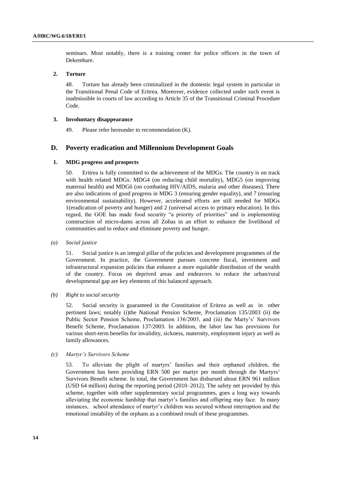seminars. Most notably, there is a training center for police officers in the town of Dekemhare.

## **2. Torture**

48. Torture has already been criminalized in the domestic legal system in particular in the Transitional Penal Code of Eritrea. Moreover, evidence collected under such event is inadmissible in courts of law according to Article 35 of the Transitional Criminal Procedure Code.

#### **3. Involuntary disappearance**

49. Please refer hereunder to recommendation (K).

## **D. Poverty eradication and Millennium Development Goals**

#### **1. MDG progress and prospects**

50. Eritrea is fully committed to the achievement of the MDGs. The country is on track with health related MDGs: MDG4 (on reducing child mortality), MDG5 (on improving maternal health) and MDG6 (on combating HIV/AIDS, malaria and other diseases). There are also indications of good progress in MDG 3 (ensuring gender equality), and 7 (ensuring environmental sustainability). However, accelerated efforts are still needed for MDGs 1(eradication of poverty and hunger) and 2 (universal access to primary education). In this regard, the GOE has made food security "a priority of priorities" and is implementing construction of micro-dams across all Zobas in an effort to enhance the livelihood of communities and to reduce and eliminate poverty and hunger.

*(a) Social justice*

51. Social justice is an integral pillar of the policies and development programmes of the Government. In practice, the Government pursues concrete fiscal, investment and infrastructural expansion policies that enhance a more equitable distribution of the wealth of the country. Focus on deprived areas and endeavors to reduce the urban/rural developmental gap are key elements of this balanced approach.

*(b) Right to social security*

52. Social security is guaranteed in the Constitution of Eritrea as well as in other pertinent laws; notably (i)the National Pension Scheme, Proclamation 135/2003 (ii) the Public Sector Pension Scheme, Proclamation 136/2003, and (iii) the Marty's' Survivors Benefit Scheme, Proclamation 137/2003. In addition, the labor law has provisions for various short-term benefits for invalidity, sickness, maternity, employment injury as well as family allowances.

#### *(c) Martyr's Survivors Scheme*

53. To alleviate the plight of martyrs' families and their orphaned children, the Government has been providing ERN 500 per martyr per month through the Martyrs' Survivors Benefit scheme. In total, the Government has disbursed about ERN 961 million (USD 64 million) during the reporting period (2010–2012). The safety net provided by this scheme, together with other supplementary social programmes, goes a long way towards alleviating the economic hardship that martyr's families and offspring may face. In many instances, school attendance of martyr's children was secured without interruption and the emotional instability of the orphans as a combined result of these programmes.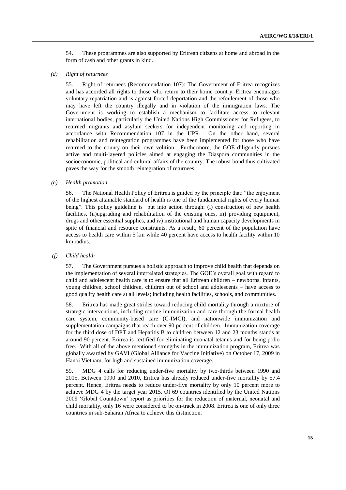54. These programmes are also supported by Eritrean citizens at home and abroad in the form of cash and other grants in kind.

### *(d) Right of returnees*

55. Right of returnees (Recommendation 107): The Government of Eritrea recognizes and has accorded all rights to those who return to their home country. Eritrea encourages voluntary repatriation and is against forced deportation and the refoulement of those who may have left the country illegally and in violation of the immigration laws. The Government is working to establish a mechanism to facilitate access to relevant international bodies, particularly the United Nations High Commissioner for Refugees, to returned migrants and asylum seekers for independent monitoring and reporting in accordance with Recommendation 107 in the UPR. On the other hand, several rehabilitation and reintegration programmes have been implemented for those who have returned to the county on their own volition. Furthermore, the GOE diligently pursues active and multi-layered policies aimed at engaging the Diaspora communities in the socioeconomic, political and cultural affairs of the country. The robust bond thus cultivated paves the way for the smooth reintegration of returnees.

#### *(e) Health promotion*

56. The National Health Policy of Eritrea is guided by the principle that: "the enjoyment of the highest attainable standard of health is one of the fundamental rights of every human being". This policy guideline is put into action through: (i) construction of new health facilities, (ii)upgrading and rehabilitation of the existing ones, iii) providing equipment, drugs and other essential supplies, and iv) institutional and human capacity developments in spite of financial and resource constraints. As a result, 60 percent of the population have access to health care within 5 km while 40 percent have access to health facility within 10 km radius.

## *(f) Child health*

57. The Government pursues a holistic approach to improve child health that depends on the implementation of several interrelated strategies. The GOE's overall goal with regard to child and adolescent health care is to ensure that all Eritrean children – newborns, infants, young children, school children, children out of school and adolescents – have access to good quality health care at all levels; including health facilities, schools, and communities.

58. Eritrea has made great strides toward reducing child mortality through a mixture of strategic interventions, including routine immunization and care through the formal health care system, community-based care (C-IMCI), and nationwide immunization and supplementation campaigns that reach over 90 percent of children. Immunization coverage for the third dose of DPT and Hepatitis B to children between 12 and 23 months stands at around 90 percent. Eritrea is certified for eliminating neonatal tetanus and for being polio free. With all of the above mentioned strengths in the immunization program, Eritrea was globally awarded by GAVI (Global Alliance for Vaccine Initiative) on October 17, 2009 in Hanoi Vietnam, for high and sustained immunization coverage.

59. MDG 4 calls for reducing under-five mortality by two-thirds between 1990 and 2015. Between 1990 and 2010, Eritrea has already reduced under-five mortality by 57.4 percent. Hence, Eritrea needs to reduce under-five mortality by only 10 percent more to achieve MDG 4 by the target year 2015. Of 69 countries identified by the United Nations 2008 'Global Countdown' report as priorities for the reduction of maternal, neonatal and child mortality, only 16 were considered to be on-track in 2008. Eritrea is one of only three countries in sub-Saharan Africa to achieve this distinction.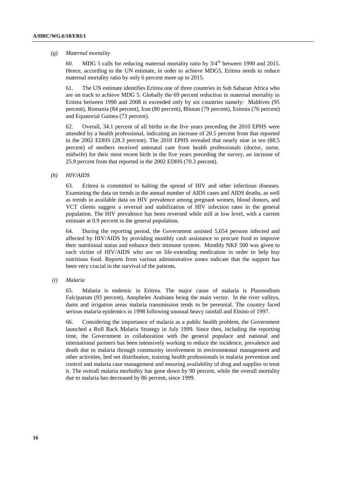#### *(g) Maternal mortality*

60. MDG 5 calls for reducing maternal mortality ratio by  $3/4^{th}$  between 1990 and 2015. Hence, according to the UN estimate, in order to achieve MDG5, Eritrea needs to reduce maternal mortality ratio by only 6 percent more up to 2015.

61. The UN estimate identifies Eritrea one of three countries in Sub Saharan Africa who are on track to achieve MDG 5. Globally the 69 percent reduction in maternal mortality in Eritrea between 1990 and 2008 is exceeded only by six countries namely: Maldives (95 percent), Romania (84 percent), Iran (80 percent), Bhutan (79 percent), Estonia (76 percent) and Equatorial Guinea (73 percent).

62. Overall, 34.1 percent of all births in the five years preceding the 2010 EPHS were attended by a health professional, indicating an increase of 20.5 percent from that reported in the 2002 EDHS (28.3 percent). The 2010 EPHS revealed that nearly nine in ten (88.5 percent) of mothers received antenatal care from health professionals (doctor, nurse, midwife) for their most recent birth in the five years preceding the survey, an increase of 25.9 percent from that reported in the 2002 EDHS (70.3 percent).

## *(h) HIV/AIDS*

63. Eritrea is committed to halting the spread of HIV and other infectious diseases. Examining the data on trends in the annual number of AIDS cases and AIDS deaths, as well as trends in available data on HIV prevalence among pregnant women, blood donors, and VCT clients suggest a reversal and stabilization of HIV infection rates in the general population. The HIV prevalence has been reversed while still at low level, with a current estimate at 0.9 percent in the general population.

64. During the reporting period, the Government assisted 5,654 persons infected and affected by HIV/AIDS by providing monthly cash assistance to procure food to improve their nutritional status and enhance their immune system. Monthly NKF 500 was given to each victim of HIV/AIDS who are on life-extending medication in order to help buy nutritious food. Reports from various administrative zones indicate that the support has been very crucial in the survival of the patients.

## *(i) Malaria*

65. Malaria is endemic in Eritrea. The major cause of malaria is Plasmodium Falciparum (93 percent), Anopheles Arabians being the main vector. In the river valleys, dams and irrigation areas malaria transmission tends to be perennial. The country faced serious malaria epidemics in 1998 following unusual heavy rainfall and Elnino of 1997.

66. Considering the importance of malaria as a public health problem, the Government launched a Roll Back Malaria Strategy in July 1999. Since then, including the reporting time, the Government in collaboration with the general populace and national and international partners has been intensively working to reduce the incidence, prevalence and death due to malaria through community involvement in environmental management and other activities, bed net distribution, training health professionals in malaria prevention and control and malaria case management and ensuring availability of drug and supplies to treat it. The overall malaria morbidity has gone down by 90 percent, while the overall mortality due to malaria has decreased by 86 percent, since 1999.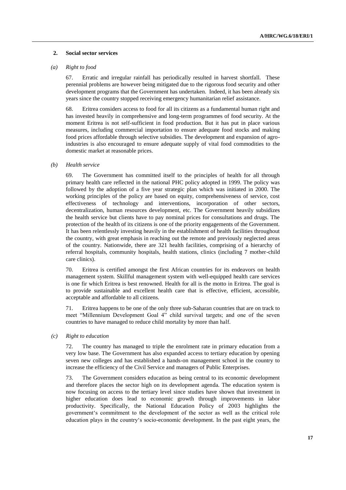#### **2. Social sector services**

#### *(a) Right to food*

67. Erratic and irregular rainfall has periodically resulted in harvest shortfall. These perennial problems are however being mitigated due to the rigorous food security and other development programs that the Government has undertaken. Indeed, it has been already six years since the country stopped receiving emergency humanitarian relief assistance.

68. Eritrea considers access to food for all its citizens as a fundamental human right and has invested heavily in comprehensive and long-term programmes of food security. At the moment Eritrea is not self-sufficient in food production. But it has put in place various measures, including commercial importation to ensure adequate food stocks and making food prices affordable through selective subsidies. The development and expansion of agroindustries is also encouraged to ensure adequate supply of vital food commodities to the domestic market at reasonable prices.

#### *(b) Health service*

69. The Government has committed itself to the principles of health for all through primary health care reflected in the national PHC policy adopted in 1999. The policy was followed by the adoption of a five year strategic plan which was initiated in 2000. The working principles of the policy are based on equity, comprehensiveness of service, cost effectiveness of technology and interventions, incorporation of other sectors, decentralization, human resources development, etc. The Government heavily subsidizes the health service but clients have to pay nominal prices for consultations and drugs. The protection of the health of its citizens is one of the priority engagements of the Government. It has been relentlessly investing heavily in the establishment of health facilities throughout the country, with great emphasis in reaching out the remote and previously neglected areas of the country. Nationwide, there are 321 health facilities, comprising of a hierarchy of referral hospitals, community hospitals, health stations, clinics (including 7 mother-child care clinics).

70. Eritrea is certified amongst the first African countries for its endeavors on health management system. Skillful management system with well-equipped health care services is one fir which Eritrea is best renowned. Health for all is the motto in Eritrea. The goal is to provide sustainable and excellent health care that is effective, efficient, accessible, acceptable and affordable to all citizens.

71. Eritrea happens to be one of the only three sub-Saharan countries that are on track to meet "Millennium Development Goal 4" child survival targets; and one of the seven countries to have managed to reduce child mortality by more than half.

#### *(c) Right to education*

72. The country has managed to triple the enrolment rate in primary education from a very low base. The Government has also expanded access to tertiary education by opening seven new colleges and has established a hands-on management school in the country to increase the efficiency of the Civil Service and managers of Public Enterprises.

73. The Government considers education as being central to its economic development and therefore places the sector high on its development agenda. The education system is now focusing on access to the tertiary level since studies have shown that investment in higher education does lead to economic growth through improvements in labor productivity. Specifically, the National Education Policy of 2003 highlights the government's commitment to the development of the sector as well as the critical role education plays in the country's socio-economic development. In the past eight years, the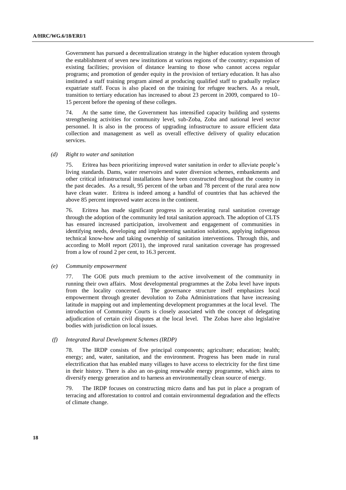Government has pursued a decentralization strategy in the higher education system through the establishment of seven new institutions at various regions of the country; expansion of existing facilities; provision of distance learning to those who cannot access regular programs; and promotion of gender equity in the provision of tertiary education. It has also instituted a staff training program aimed at producing qualified staff to gradually replace expatriate staff. Focus is also placed on the training for refugee teachers. As a result, transition to tertiary education has increased to about 23 percent in 2009, compared to 10– 15 percent before the opening of these colleges.

74. At the same time, the Government has intensified capacity building and systems strengthening activities for community level, sub-Zoba, Zoba and national level sector personnel. It is also in the process of upgrading infrastructure to assure efficient data collection and management as well as overall effective delivery of quality education services.

#### *(d) Right to water and sanitation*

75. Eritrea has been prioritizing improved water sanitation in order to alleviate people's living standards. Dams, water reservoirs and water diversion schemes, embankments and other critical infrastructural installations have been constructed throughout the country in the past decades. As a result, 95 percent of the urban and 78 percent of the rural area now have clean water. Eritrea is indeed among a handful of countries that has achieved the above 85 percent improved water access in the continent.

76. Eritrea has made significant progress in accelerating rural sanitation coverage through the adoption of the community led total sanitation approach. The adoption of CLTS has ensured increased participation, involvement and engagement of communities in identifying needs, developing and implementing sanitation solutions, applying indigenous technical know-how and taking ownership of sanitation interventions. Through this, and according to MoH report (2011), the improved rural sanitation coverage has progressed from a low of round 2 per cent, to 16.3 percent.

#### *(e) Community empowerment*

77. The GOE puts much premium to the active involvement of the community in running their own affairs. Most developmental programmes at the Zoba level have inputs from the locality concerned. The governance structure itself emphasizes local empowerment through greater devolution to Zoba Administrations that have increasing latitude in mapping out and implementing development programmes at the local level. The introduction of Community Courts is closely associated with the concept of delegating adjudication of certain civil disputes at the local level. The Zobas have also legislative bodies with jurisdiction on local issues.

#### *(f) Integrated Rural Development Schemes (IRDP)*

78. The IRDP consists of five principal components; agriculture; education; health; energy; and, water, sanitation, and the environment. Progress has been made in rural electrification that has enabled many villages to have access to electricity for the first time in their history. There is also an on-going renewable energy programme, which aims to diversify energy generation and to harness an environmentally clean source of energy.

79. The IRDP focuses on constructing micro dams and has put in place a program of terracing and afforestation to control and contain environmental degradation and the effects of climate change.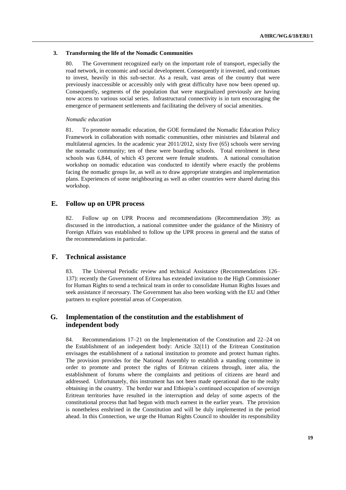#### **3. Transforming the life of the Nomadic Communities**

80. The Government recognized early on the important role of transport, especially the road network, in economic and social development. Consequently it invested, and continues to invest, heavily in this sub-sector. As a result, vast areas of the country that were previously inaccessible or accessibly only with great difficulty have now been opened up. Consequently, segments of the population that were marginalized previously are having now access to various social series. Infrastructural connectivity is in turn encouraging the emergence of permanent settlements and facilitating the delivery of social amenities.

#### *Nomadic education*

81. To promote nomadic education, the GOE formulated the Nomadic Education Policy Framework in collaboration with nomadic communities, other ministries and bilateral and multilateral agencies. In the academic year 2011/2012, sixty five (65) schools were serving the nomadic community; ten of these were boarding schools. Total enrolment in these schools was 6,844, of which 43 percent were female students. A national consultation workshop on nomadic education was conducted to identify where exactly the problems facing the nomadic groups lie, as well as to draw appropriate strategies and implementation plans. Experiences of some neighbouring as well as other countries were shared during this workshop.

### **E. Follow up on UPR process**

82. Follow up on UPR Process and recommendations (Recommendation 39): as discussed in the introduction, a national committee under the guidance of the Ministry of Foreign Affairs was established to follow up the UPR process in general and the status of the recommendations in particular.

#### **F. Technical assistance**

83. The Universal Periodic review and technical Assistance (Recommendations 126– 137): recently the Government of Eritrea has extended invitation to the High Commissioner for Human Rights to send a technical team in order to consolidate Human Rights Issues and seek assistance if necessary. The Government has also been working with the EU and Other partners to explore potential areas of Cooperation.

## **G. Implementation of the constitution and the establishment of independent body**

84. Recommendations 17–21 on the Implementation of the Constitution and 22–24 on the Establishment of an independent body: Article 32(11) of the Eritrean Constitution envisages the establishment of a national institution to promote and protect human rights. The provision provides for the National Assembly to establish a standing committee in order to promote and protect the rights of Eritrean citizens through, inter alia, the establishment of forums where the complaints and petitions of citizens are heard and addressed. Unfortunately, this instrument has not been made operational due to the realty obtaining in the country. The border war and Ethiopia's continued occupation of sovereign Eritrean territories have resulted in the interruption and delay of some aspects of the constitutional process that had begun with much earnest in the earlier years. The provision is nonetheless enshrined in the Constitution and will be duly implemented in the period ahead. In this Connection, we urge the Human Rights Council to shoulder its responsibility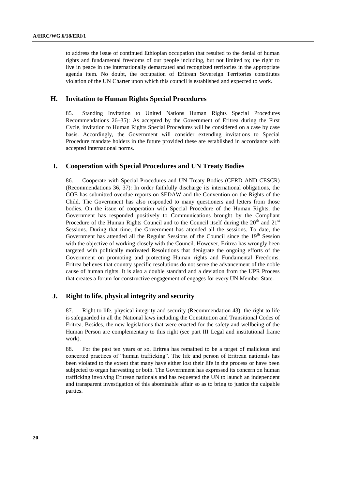to address the issue of continued Ethiopian occupation that resulted to the denial of human rights and fundamental freedoms of our people including, but not limited to; the right to live in peace in the internationally demarcated and recognized territories in the appropriate agenda item. No doubt, the occupation of Eritrean Sovereign Territories constitutes violation of the UN Charter upon which this council is established and expected to work.

## **H. Invitation to Human Rights Special Procedures**

85. Standing Invitation to United Nations Human Rights Special Procedures Recommendations 26–35): As accepted by the Government of Eritrea during the First Cycle, invitation to Human Rights Special Procedures will be considered on a case by case basis. Accordingly, the Government will consider extending invitations to Special Procedure mandate holders in the future provided these are established in accordance with accepted international norms.

## **I. Cooperation with Special Procedures and UN Treaty Bodies**

86. Cooperate with Special Procedures and UN Treaty Bodies (CERD AND CESCR) (Recommendations 36, 37): In order faithfully discharge its international obligations, the GOE has submitted overdue reports on SEDAW and the Convention on the Rights of the Child. The Government has also responded to many questioners and letters from those bodies. On the issue of cooperation with Special Procedure of the Human Rights, the Government has responded positively to Communications brought by the Compliant Procedure of the Human Rights Council and to the Council itself during the  $20<sup>th</sup>$  and  $21<sup>st</sup>$ Sessions. During that time, the Government has attended all the sessions. To date, the Government has attended all the Regular Sessions of the Council since the 19<sup>th</sup> Session with the objective of working closely with the Council. However, Eritrea has wrongly been targeted with politically motivated Resolutions that denigrate the ongoing efforts of the Government on promoting and protecting Human rights and Fundamental Freedoms. Eritrea believes that country specific resolutions do not serve the advancement of the noble cause of human rights. It is also a double standard and a deviation from the UPR Process that creates a forum for constructive engagement of engages for every UN Member State.

## **J. Right to life, physical integrity and security**

87. Right to life, physical integrity and security (Recommendation 43): the right to life is safeguarded in all the National laws including the Constitution and Transitional Codes of Eritrea. Besides, the new legislations that were enacted for the safety and wellbeing of the Human Person are complementary to this right (see part III Legal and institutional frame work).

88. For the past ten years or so, Eritrea has remained to be a target of malicious and concerted practices of "human trafficking". The life and person of Eritrean nationals has been violated to the extent that many have either lost their life in the process or have been subjected to organ harvesting or both. The Government has expressed its concern on human trafficking involving Eritrean nationals and has requested the UN to launch an independent and transparent investigation of this abominable affair so as to bring to justice the culpable parties.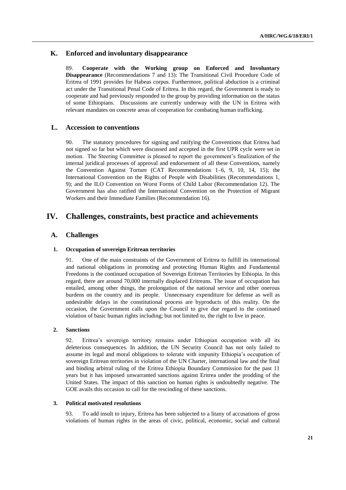## **K. Enforced and involuntary disappearance**

89. **Cooperate with the Working group on Enforced and Involuntary Disappearance** (Recommendations 7 and 13): The Transitional Civil Procedure Code of Eritrea of 1991 provides for Habeas corpus. Furthermore, political abduction is a criminal act under the Transitional Penal Code of Eritrea. In this regard, the Government is ready to cooperate and had previously responded to the group by providing information on the status of some Ethiopians. Discussions are currently underway with the UN in Eritrea with relevant mandates on concrete areas of cooperation for combating human trafficking.

## **L. Accession to conventions**

90. The statutory procedures for signing and ratifying the Conventions that Eritrea had not signed so far but which were discussed and accepted in the first UPR cycle were set in motion. The Steering Committee is pleased to report the government's finalization of the internal juridical processes of approval and endorsement of all these Conventions, namely the Convention Against Torture (CAT Recommendations 1–6, 9, 10, 14, 15); the International Convention on the Rights of People with Disabilities (Recommendations 1, 9); and the ILO Convention on Worst Forms of Child Labor (Recommendation 12). The Government has also ratified the International Convention on the Protection of Migrant Workers and their Immediate Families (Recommendation 16).

## **IV. Challenges, constraints, best practice and achievements**

### **A. Challenges**

#### **1. Occupation of sovereign Eritrean territories**

91. One of the main constraints of the Government of Eritrea to fulfill its international and national obligations in promoting and protecting Human Rights and Fundamental Freedoms is the continued occupation of Sovereign Eritrean Territories by Ethiopia. In this regard, there are around 70,000 internally displaced Eritreans. The issue of occupation has entailed, among other things, the prolongation of the national service and other onerous burdens on the country and its people. Unnecessary expenditure for defense as well as undesirable delays in the constitutional process are byproducts of this reality. On the occasion, the Government calls upon the Council to give due regard to the continued violation of basic human rights including; but not limited to, the right to live in peace.

#### **2. Sanctions**

92. Eritrea's sovereign territory remains under Ethiopian occupation with all its deleterious consequences. In addition, the UN Security Council has not only failed to assume its legal and moral obligations to tolerate with impunity Ethiopia's occupation of sovereign Eritrean territories in violation of the UN Charter, international law and the final and binding arbitral ruling of the Eritrea Ethiopia Boundary Commission for the past 11 years but it has imposed unwarranted sanctions against Eritrea under the prodding of the United States. The impact of this sanction on human rights is undoubtedly negative. The GOE avails this occasion to call for the rescinding of these sanctions.

#### **3. Political motivated resolutions**

93. To add insult to injury, Eritrea has been subjected to a litany of accusations of gross violations of human rights in the areas of civic, political, economic, social and cultural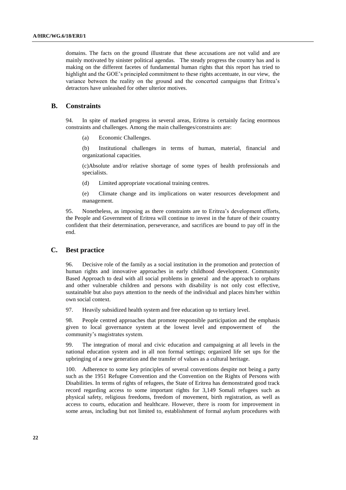domains. The facts on the ground illustrate that these accusations are not valid and are mainly motivated by sinister political agendas. The steady progress the country has and is making on the different facetes of fundamental human rights that this report has tried to highlight and the GOE's principled commitment to these rights accentuate, in our view, the variance between the reality on the ground and the concerted campaigns that Eritrea's detractors have unleashed for other ulterior motives.

## **B. Constraints**

94. In spite of marked progress in several areas, Eritrea is certainly facing enormous constraints and challenges. Among the main challenges/constraints are:

(a) Economic Challenges.

(b) Institutional challenges in terms of human, material, financial and organizational capacities.

(c)Absolute and/or relative shortage of some types of health professionals and specialists.

(d) Limited appropriate vocational training centres.

(e) Climate change and its implications on water resources development and management.

95. Nonetheless, as imposing as there constraints are to Eritrea's development efforts, the People and Government of Eritrea will continue to invest in the future of their country confident that their determination, perseverance, and sacrifices are bound to pay off in the end.

## **C. Best practice**

96. Decisive role of the family as a social institution in the promotion and protection of human rights and innovative approaches in early childhood development. Community Based Approach to deal with all social problems in general and the approach to orphans and other vulnerable children and persons with disability is not only cost effective, sustainable but also pays attention to the needs of the individual and places him/her within own social context.

97. Heavily subsidized health system and free education up to tertiary level.

98. People centred approaches that promote responsible participation and the emphasis given to local governance system at the lowest level and empowerment of the community's magistrates system.

99. The integration of moral and civic education and campaigning at all levels in the national education system and in all non formal settings; organized life set ups for the upbringing of a new generation and the transfer of values as a cultural heritage.

100. Adherence to some key principles of several conventions despite not being a party such as the 1951 Refugee Convention and the Convention on the Rights of Persons with Disabilities. In terms of rights of refugees, the State of Eritrea has demonstrated good track record regarding access to some important rights for 3,149 Somali refugees such as physical safety, religious freedoms, freedom of movement, birth registration, as well as access to courts, education and healthcare. However, there is room for improvement in some areas, including but not limited to, establishment of formal asylum procedures with